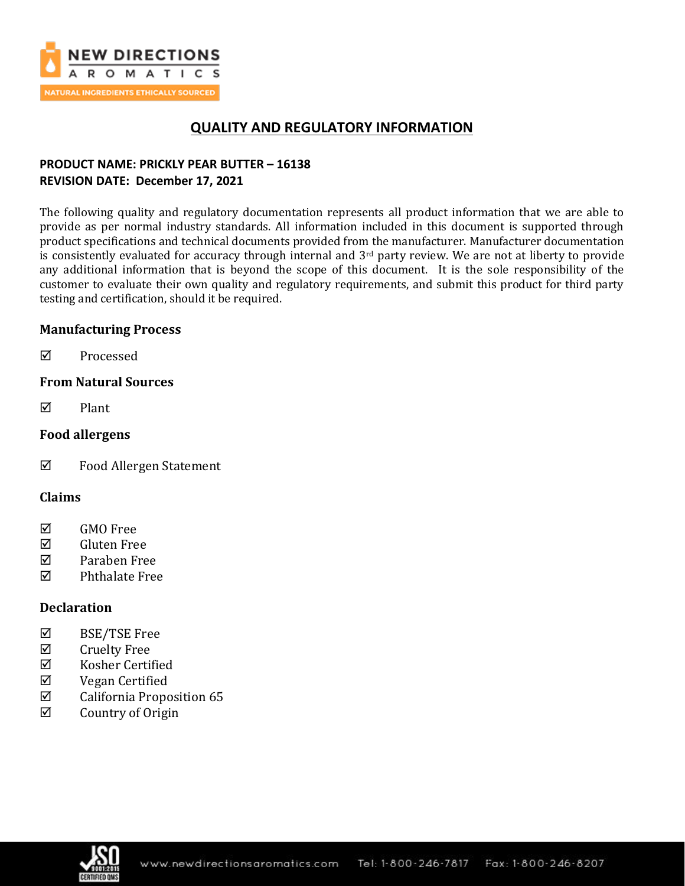

# **QUALITY AND REGULATORY INFORMATION**

## **PRODUCT NAME: PRICKLY PEAR BUTTER – 16138 REVISION DATE: December 17, 2021**

The following quality and regulatory documentation represents all product information that we are able to provide as per normal industry standards. All information included in this document is supported through product specifications and technical documents provided from the manufacturer. Manufacturer documentation is consistently evaluated for accuracy through internal and 3<sup>rd</sup> party review. We are not at liberty to provide any additional information that is beyond the scope of this document. It is the sole responsibility of the customer to evaluate their own quality and regulatory requirements, and submit this product for third party testing and certification, should it be required.

## **Manufacturing Process**

**☑** Processed

## **From Natural Sources**

 $\nabla$  Plant

## **Food allergens**

Food Allergen Statement

### **Claims**

- **☑** GMO Free
- Gluten Free
- Paraben Free
- $\nabla$  Phthalate Free

## **Declaration**

- BSE/TSE Free
- $\boxtimes$  Cruelty Free
- $\boxtimes$  Kosher Certified
- Vegan Certified
- $\boxtimes$  California Proposition 65
- $\boxtimes$  Country of Origin

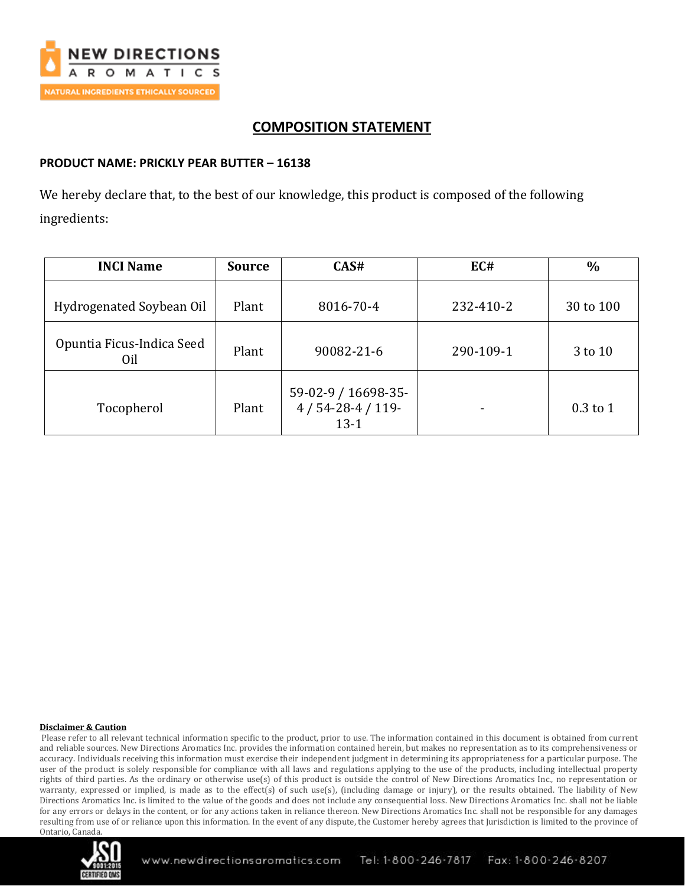

# **COMPOSITION STATEMENT**

### **PRODUCT NAME: PRICKLY PEAR BUTTER – 16138**

We hereby declare that, to the best of our knowledge, this product is composed of the following ingredients:

| <b>INCI Name</b>                 | <b>Source</b> | CAS#                                              | EC#       | $\frac{0}{0}$ |
|----------------------------------|---------------|---------------------------------------------------|-----------|---------------|
| Hydrogenated Soybean Oil         | Plant         | 8016-70-4                                         | 232-410-2 | 30 to 100     |
| Opuntia Ficus-Indica Seed<br>Oil | Plant         | 90082-21-6                                        | 290-109-1 | 3 to 10       |
| Tocopherol                       | Plant         | 59-02-9 / 16698-35-<br>$4/54-28-4/119-$<br>$13-1$ |           | $0.3$ to 1    |

#### **Disclaimer & Caution**

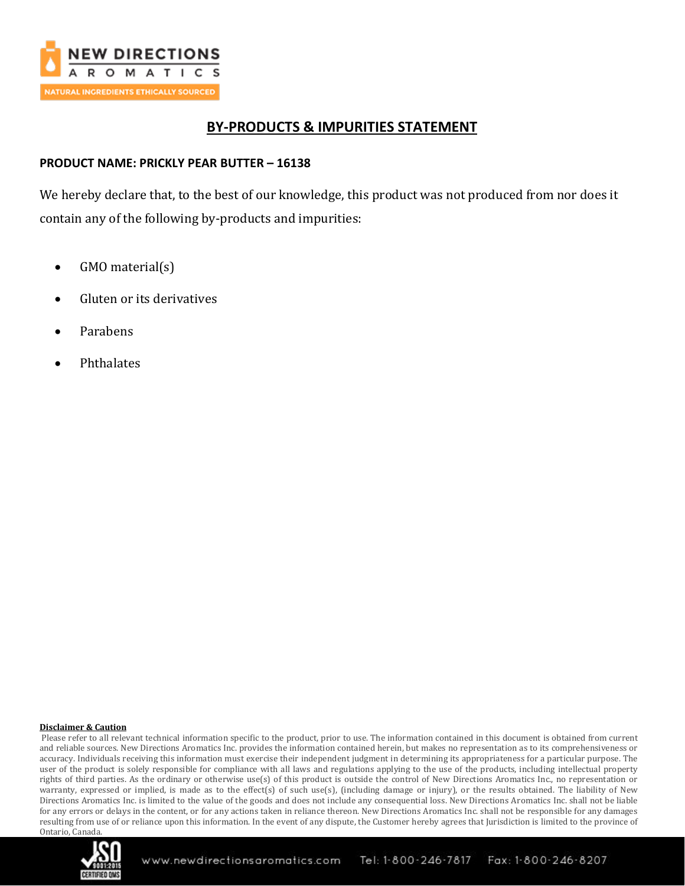

# **BY-PRODUCTS & IMPURITIES STATEMENT**

### **PRODUCT NAME: PRICKLY PEAR BUTTER – 16138**

We hereby declare that, to the best of our knowledge, this product was not produced from nor does it contain any of the following by-products and impurities:

- GMO material(s)
- Gluten or its derivatives
- Parabens
- Phthalates

#### **Disclaimer & Caution**

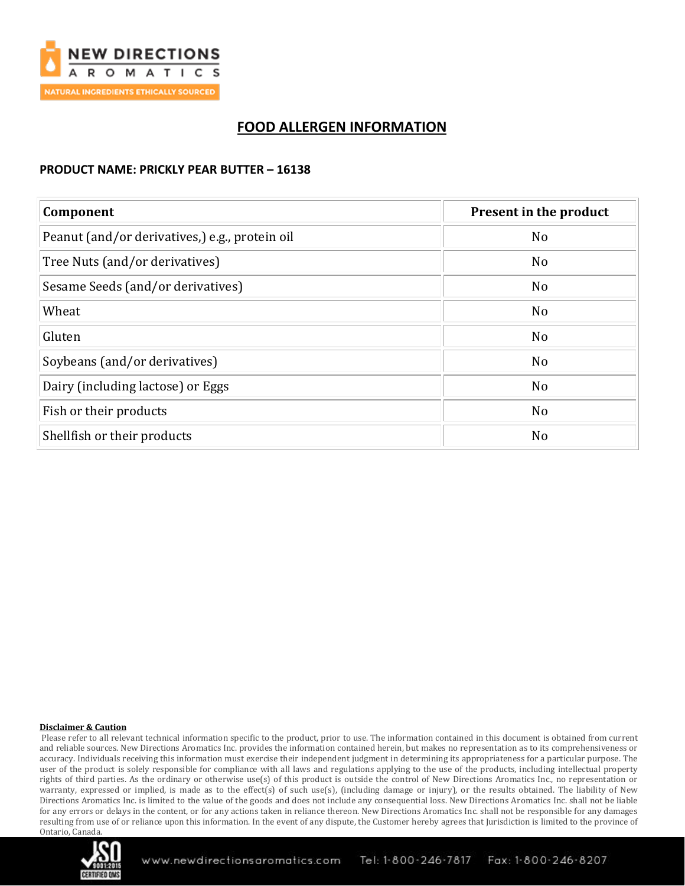

# **FOOD ALLERGEN INFORMATION**

### **PRODUCT NAME: PRICKLY PEAR BUTTER – 16138**

| Component                                      | Present in the product |  |
|------------------------------------------------|------------------------|--|
| Peanut (and/or derivatives,) e.g., protein oil | N <sub>o</sub>         |  |
| Tree Nuts (and/or derivatives)                 | N <sub>o</sub>         |  |
| Sesame Seeds (and/or derivatives)              | N <sub>o</sub>         |  |
| Wheat                                          | N <sub>o</sub>         |  |
| Gluten                                         | N <sub>o</sub>         |  |
| Soybeans (and/or derivatives)                  | N <sub>o</sub>         |  |
| Dairy (including lactose) or Eggs              | N <sub>o</sub>         |  |
| Fish or their products                         | N <sub>o</sub>         |  |
| Shellfish or their products                    | N <sub>o</sub>         |  |

#### **Disclaimer & Caution**

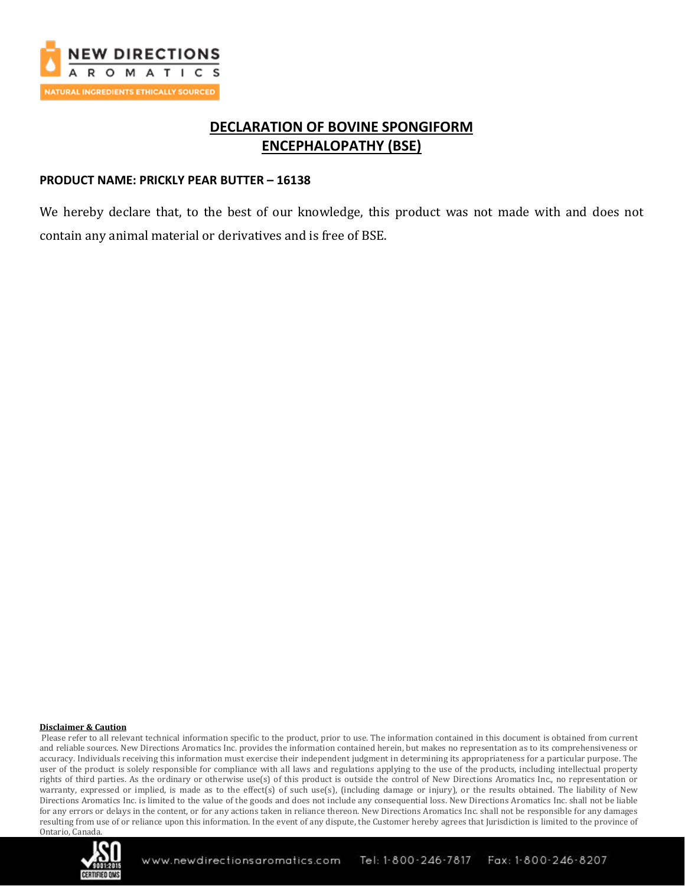

# **DECLARATION OF BOVINE SPONGIFORM ENCEPHALOPATHY (BSE)**

### **PRODUCT NAME: PRICKLY PEAR BUTTER – 16138**

We hereby declare that, to the best of our knowledge, this product was not made with and does not contain any animal material or derivatives and is free of BSE.

#### **Disclaimer & Caution**

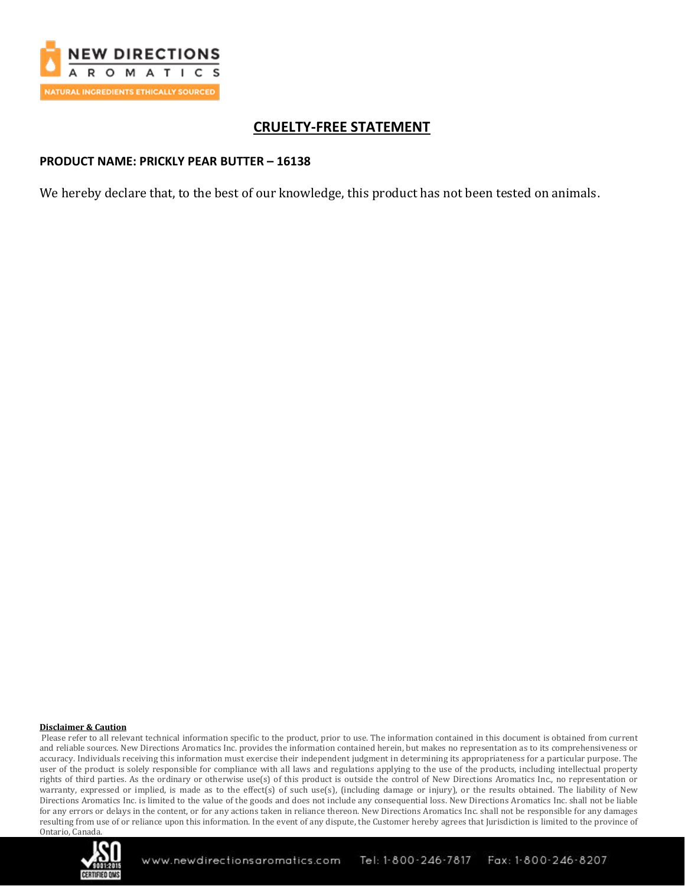

# **CRUELTY-FREE STATEMENT**

### **PRODUCT NAME: PRICKLY PEAR BUTTER – 16138**

We hereby declare that, to the best of our knowledge, this product has not been tested on animals.

#### **Disclaimer & Caution**

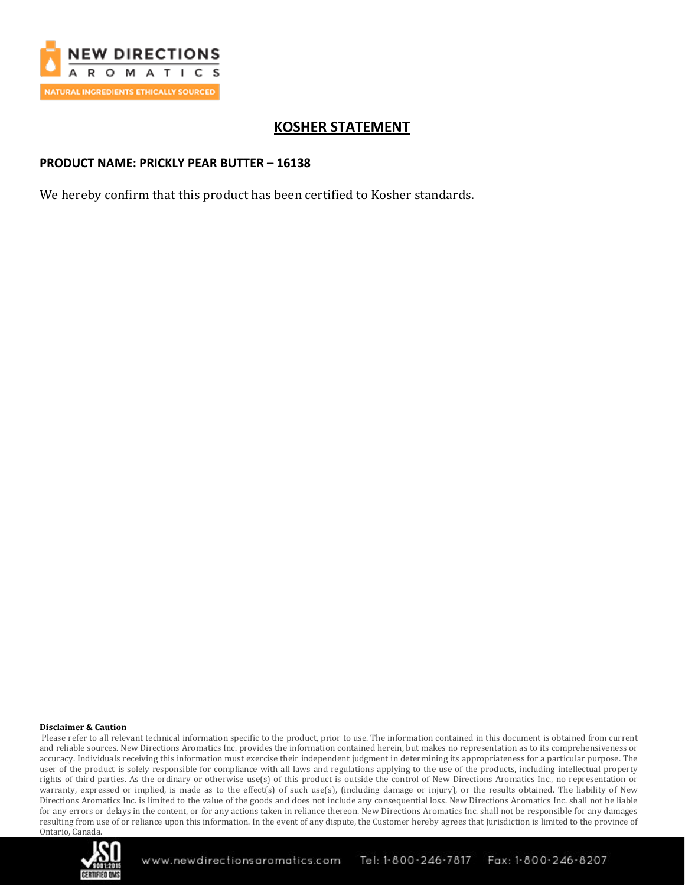

# **KOSHER STATEMENT**

### **PRODUCT NAME: PRICKLY PEAR BUTTER – 16138**

We hereby confirm that this product has been certified to Kosher standards.

#### **Disclaimer & Caution**

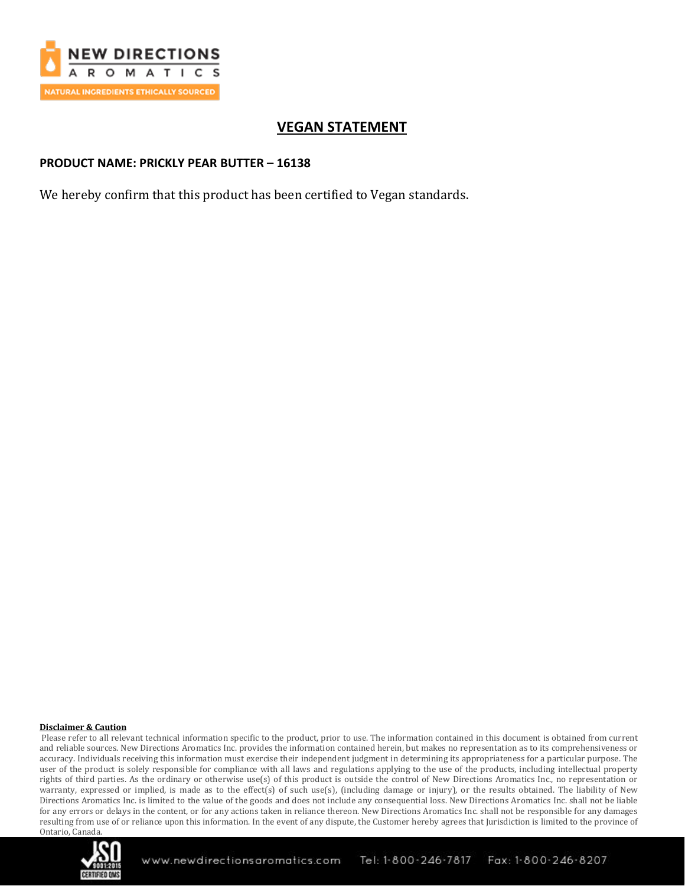

# **VEGAN STATEMENT**

### **PRODUCT NAME: PRICKLY PEAR BUTTER – 16138**

We hereby confirm that this product has been certified to Vegan standards.

#### **Disclaimer & Caution**

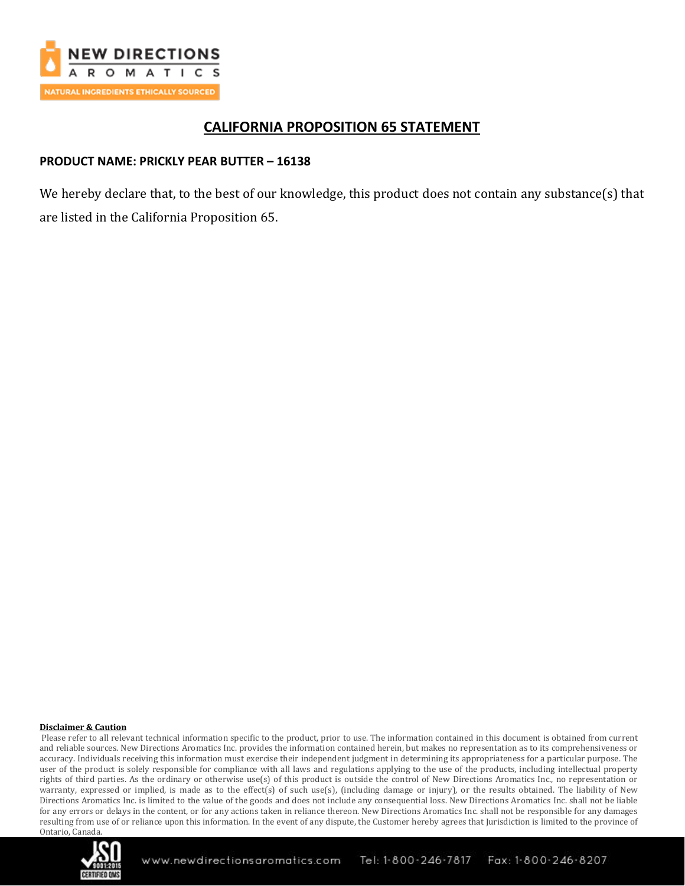

# **CALIFORNIA PROPOSITION 65 STATEMENT**

### **PRODUCT NAME: PRICKLY PEAR BUTTER – 16138**

We hereby declare that, to the best of our knowledge, this product does not contain any substance(s) that are listed in the California Proposition 65.

#### **Disclaimer & Caution**